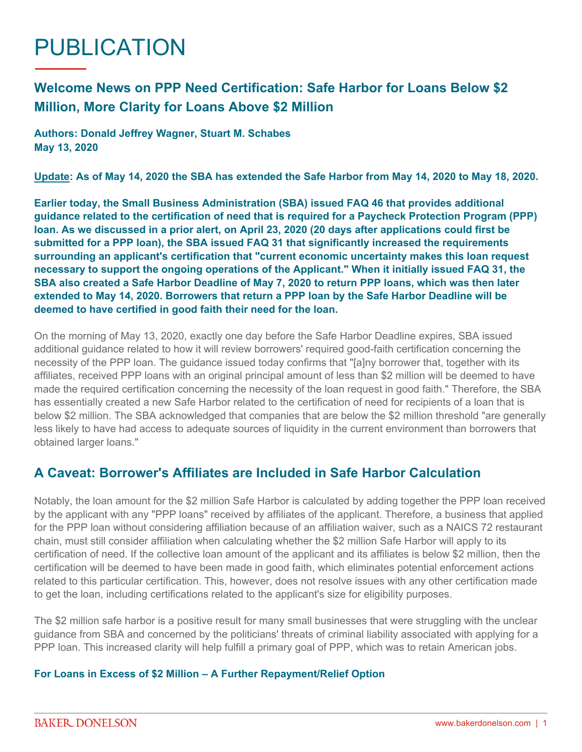## PUBLICATION

## **Welcome News on PPP Need Certification: Safe Harbor for Loans Below \$2 Million, More Clarity for Loans Above \$2 Million**

**Authors: Donald Jeffrey Wagner, Stuart M. Schabes May 13, 2020**

**Update: As of May 14, 2020 the SBA has extended the Safe Harbor from May 14, 2020 to May 18, 2020.**

**Earlier today, the Small Business Administration (SBA) issued [FAQ 46](https://home.treasury.gov/system/files/136/Paycheck-Protection-Program-Frequently-Asked-Questions.pdf) that provides additional guidance related to the certification of need that is required for a Paycheck Protection Program (PPP) loan. As we discussed in a [prior alert,](https://www.bakerdonelson.com/sba-extends-safe-harbor-deadline-to-may-14-2020-and-confirms-that-foreign-affiliate-employees-must-be-counted-for-size-purposes) on April 23, 2020 (20 days after applications could first be submitted for a PPP loan), the SBA issued FAQ 31 that significantly increased the requirements surrounding an applicant's certification that "current economic uncertainty makes this loan request necessary to support the ongoing operations of the Applicant." When it initially issued FAQ 31, the SBA also created a Safe Harbor Deadline of May 7, 2020 to return PPP loans, which was then later extended to May 14, 2020. Borrowers that return a PPP loan by the Safe Harbor Deadline will be deemed to have certified in good faith their need for the loan.**

On the morning of May 13, 2020, exactly one day before the Safe Harbor Deadline expires, SBA issued additional guidance related to how it will review borrowers' required good-faith certification concerning the necessity of the PPP loan. The guidance issued today confirms that "[a]ny borrower that, together with its affiliates, received PPP loans with an original principal amount of less than \$2 million will be deemed to have made the required certification concerning the necessity of the loan request in good faith." Therefore, the SBA has essentially created a new Safe Harbor related to the certification of need for recipients of a loan that is below \$2 million. The SBA acknowledged that companies that are below the \$2 million threshold "are generally less likely to have had access to adequate sources of liquidity in the current environment than borrowers that obtained larger loans."

## **A Caveat: Borrower's Affiliates are Included in Safe Harbor Calculation**

Notably, the loan amount for the \$2 million Safe Harbor is calculated by adding together the PPP loan received by the applicant with any "PPP loans" received by affiliates of the applicant. Therefore, a business that applied for the PPP loan without considering affiliation because of an affiliation waiver, such as a NAICS 72 restaurant chain, must still consider affiliation when calculating whether the \$2 million Safe Harbor will apply to its certification of need. If the collective loan amount of the applicant and its affiliates is below \$2 million, then the certification will be deemed to have been made in good faith, which eliminates potential enforcement actions related to this particular certification. This, however, does not resolve issues with any other certification made to get the loan, including certifications related to the applicant's size for eligibility purposes.

The \$2 million safe harbor is a positive result for many small businesses that were struggling with the unclear guidance from SBA and concerned by the politicians' threats of criminal liability associated with applying for a PPP loan. This increased clarity will help fulfill a primary goal of PPP, which was to retain American jobs.

## **For Loans in Excess of \$2 Million – A Further Repayment/Relief Option**